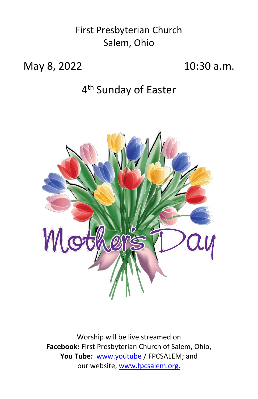First Presbyterian Church Salem, Ohio

May 8, 2022 10:30 a.m.

# 4<sup>th</sup> Sunday of Easter



Worship will be live streamed on **Facebook:** First Presbyterian Church of Salem, Ohio, You Tube: [www.youtube](http://www.youtube/) / FPCSALEM; and our website, [www.fpcsalem.org.](http://www.fpcsalem.org/)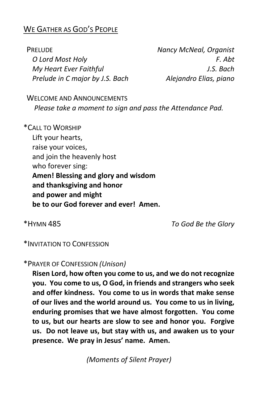# WE GATHER AS GOD'S PEOPLE

 PRELUDE *Nancy McNeal, Organist O Lord Most Holy F. Abt My Heart Ever Faithful J.S. Bach Prelude in C major by J.S. Bach Alejandro Elias, piano*

WELCOME AND ANNOUNCEMENTS *Please take a moment to sign and pass the Attendance Pad.*

\*CALL TO WORSHIP Lift your hearts, raise your voices, and join the heavenly host who forever sing: **Amen! Blessing and glory and wisdom and thanksgiving and honor and power and might be to our God forever and ever! Amen.**

\*HYMN 485 *To God Be the Glory*

#### \*INVITATION TO CONFESSION

#### \*PRAYER OF CONFESSION *(Unison)*

**Risen Lord, how often you come to us, and we do not recognize you. You come to us, O God, in friends and strangers who seek and offer kindness. You come to us in words that make sense of our lives and the world around us. You come to us in living, enduring promises that we have almost forgotten. You come to us, but our hearts are slow to see and honor you. Forgive us. Do not leave us, but stay with us, and awaken us to your presence. We pray in Jesus' name. Amen.**

*(Moments of Silent Prayer)*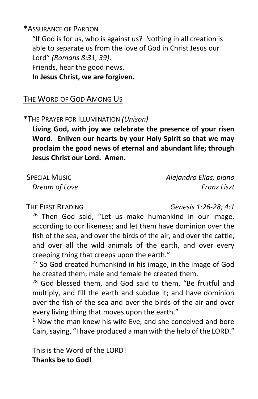#### \*ASSURANCE OF PARDON

"If God is for us, who is against us? Nothing in all creation is able to separate us from the love of God in Christ Jesus our Lord" *(Romans 8:31, 39)*.

Friends, hear the good news.

**In Jesus Christ, we are forgiven.**

# THE WORD OF GOD AMONG US

### \*THE PRAYER FOR ILLUMINATION *(Unison)*

**Living God, with joy we celebrate the presence of your risen Word. Enliven our hearts by your Holy Spirit so that we may proclaim the good news of eternal and abundant life; through Jesus Christ our Lord. Amen.**

 SPECIAL MUSIC *Alejandro Elias, piano Dream of Love Franz Liszt*

THE FIRST READING *Genesis 1:26-28; 4:1*

 $26$  Then God said, "Let us make humankind in our image, according to our likeness; and let them have dominion over the fish of the sea, and over the birds of the air, and over the cattle, and over all the wild animals of the earth, and over every creeping thing that creeps upon the earth."

<sup>27</sup> So God created humankind in his image, in the image of God he created them; male and female he created them.

<sup>28</sup> God blessed them, and God said to them, "Be fruitful and multiply, and fill the earth and subdue it; and have dominion over the fish of the sea and over the birds of the air and over every living thing that moves upon the earth."

 $1$  Now the man knew his wife Eve, and she conceived and bore Cain, saying, "I have produced a man with the help of the LORD."

This is the Word of the LORD! **Thanks be to God!**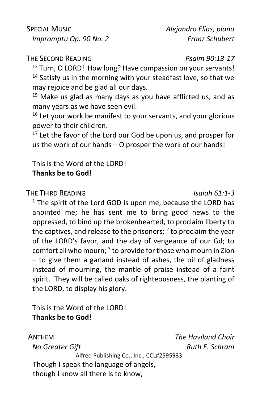SPECIAL MUSIC *Alejandro Elias, piano Impromptu Op. 90 No. 2 Franz Schubert*

THE SECOND READING *Psalm 90:13-17*

<sup>13</sup> Turn, O LORD! How long? Have compassion on your servants!  $14$  Satisfy us in the morning with your steadfast love, so that we may rejoice and be glad all our days.

 $15$  Make us glad as many days as you have afflicted us, and as many years as we have seen evil.

 $16$  Let your work be manifest to your servants, and your glorious power to their children.

 $17$  Let the favor of the Lord our God be upon us, and prosper for us the work of our hands – O prosper the work of our hands!

This is the Word of the LORD! **Thanks be to God!**

THE THIRD READING *Isaiah 61:1-3*

 $1$  The spirit of the Lord GOD is upon me, because the LORD has anointed me; he has sent me to bring good news to the oppressed, to bind up the brokenhearted, to proclaim liberty to the captives, and release to the prisoners;  $^2$  to proclaim the year of the LORD's favor, and the day of vengeance of our Gd; to comfort all who mourn; <sup>3</sup> to provide for those who mourn in Zion – to give them a garland instead of ashes, the oil of gladness instead of mourning, the mantle of praise instead of a faint spirit. They will be called oaks of righteousness, the planting of the LORD, to display his glory.

This is the Word of the LORD! **Thanks be to God!**

 ANTHEM *The Haviland Choir No Greater Gift Ruth E. Schram*

Alfred Publishing Co., Inc., CCL#2595933 Though I speak the language of angels, though I know all there is to know,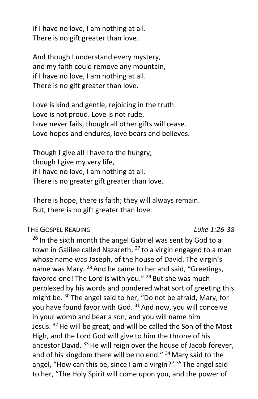if I have no love, I am nothing at all. There is no gift greater than love.

And though I understand every mystery, and my faith could remove any mountain, if I have no love, I am nothing at all. There is no gift greater than love.

Love is kind and gentle, rejoicing in the truth. Love is not proud. Love is not rude. Love never fails, though all other gifts will cease. Love hopes and endures, love bears and believes.

Though I give all I have to the hungry, though I give my very life, if I have no love, I am nothing at all. There is no greater gift greater than love.

There is hope, there is faith; they will always remain. But, there is no gift greater than love.

#### THE GOSPEL READING *Luke 1:26-38*

<sup>26</sup> In the sixth month the angel Gabriel was sent by God to a town in Galilee called Nazareth, <sup>27</sup> to a virgin engaged to a man whose name was Joseph, of the house of David. The virgin's name was Mary. <sup>28</sup> And he came to her and said, "Greetings, favored one! The Lord is with you." <sup>29</sup> But she was much perplexed by his words and pondered what sort of greeting this might be. <sup>30</sup> The angel said to her, "Do not be afraid, Mary, for you have found favor with God.<sup>31</sup> And now, you will conceive in your womb and bear a son, and you will name him Jesus. <sup>32</sup> He will be great, and will be called the Son of the Most High, and the Lord God will give to him the throne of his ancestor David.<sup>33</sup> He will reign over the house of Jacob forever, and of his kingdom there will be no end." <sup>34</sup> Mary said to the angel, "How can this be, since I am a virgin?" <sup>35</sup> The angel said to her, "The Holy Spirit will come upon you, and the power of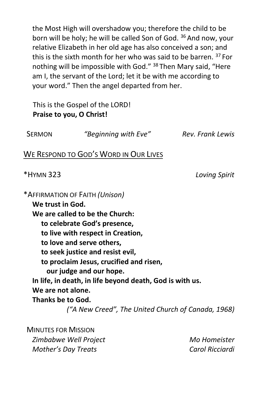the Most High will overshadow you; therefore the child to be born will be holy; he will be called Son of God. <sup>36</sup> And now, your relative Elizabeth in her old age has also conceived a son; and this is the sixth month for her who was said to be barren. <sup>37</sup> For nothing will be impossible with God." <sup>38</sup> Then Mary said, "Here am I, the servant of the Lord; let it be with me according to your word." Then the angel departed from her.

# This is the Gospel of the LORD! **Praise to you, O Christ!**

 SERMON *"Beginning with Eve" Rev. Frank Lewis* WE RESPOND TO GOD'S WORD IN OUR LIVES \*HYMN 323 *Loving Spirit* \*AFFIRMATION OF FAITH *(Unison)* **We trust in God. We are called to be the Church: to celebrate God's presence, to live with respect in Creation, to love and serve others, to seek justice and resist evil, to proclaim Jesus, crucified and risen, our judge and our hope. In life, in death, in life beyond death, God is with us. We are not alone. Thanks be to God.** *("A New Creed", The United Church of Canada, 1968)* MINUTES FOR MISSION

*Zimbabwe Well Project Mo Homeister Mother's Day Treats Carol Ricciardi*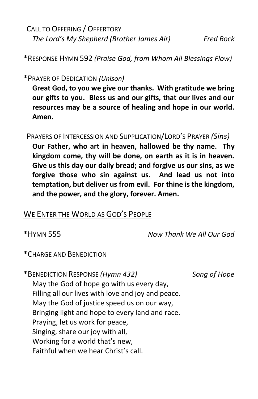CALL TO OFFERING / OFFERTORY *The Lord's My Shepherd (Brother James Air) Fred Bock*

\*RESPONSE HYMN 592 *(Praise God, from Whom All Blessings Flow)*

\*PRAYER OF DEDICATION *(Unison)*

**Great God, to you we give our thanks. With gratitude we bring our gifts to you. Bless us and our gifts, that our lives and our resources may be a source of healing and hope in our world. Amen.**

PRAYERS OF INTERCESSION AND SUPPLICATION/LORD'S PRAYER *(Sins)* 

**Our Father, who art in heaven, hallowed be thy name. Thy kingdom come, thy will be done, on earth as it is in heaven. Give us this day our daily bread; and forgive us our sins, as we forgive those who sin against us. And lead us not into temptation, but deliver us from evil. For thine is the kingdom, and the power, and the glory, forever. Amen.**

### WE ENTER THE WORLD AS GOD'S PEOPLE

\*HYMN 555 *Now Thank We All Our God*

\*CHARGE AND BENEDICTION

\*BENEDICTION RESPONSE *(Hymn 432) Song of Hope*

May the God of hope go with us every day, Filling all our lives with love and joy and peace. May the God of justice speed us on our way, Bringing light and hope to every land and race. Praying, let us work for peace, Singing, share our joy with all, Working for a world that's new, Faithful when we hear Christ's call.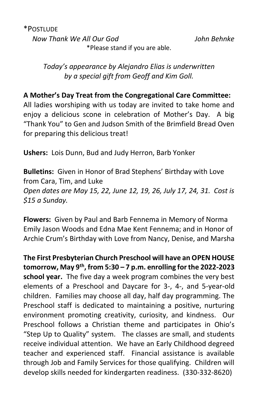\*POSTLUDE *Now Thank We All Our God John Behnke* \*Please stand if you are able.

*Today's appearance by Alejandro Elias is underwritten by a special gift from Geoff and Kim Goll.*

#### **A Mother's Day Treat from the Congregational Care Committee:**

All ladies worshiping with us today are invited to take home and enjoy a delicious scone in celebration of Mother's Day. A big "Thank You" to Gen and Judson Smith of the Brimfield Bread Oven for preparing this delicious treat!

**Ushers:** Lois Dunn, Bud and Judy Herron, Barb Yonker

**Bulletins:** Given in Honor of Brad Stephens' Birthday with Love from Cara, Tim, and Luke *Open dates are May 15, 22, June 12, 19, 26, July 17, 24, 31. Cost is \$15 a Sunday.*

**Flowers:** Given by Paul and Barb Fennema in Memory of Norma Emily Jason Woods and Edna Mae Kent Fennema; and in Honor of Archie Crum's Birthday with Love from Nancy, Denise, and Marsha

**The First Presbyterian Church Preschool will have an OPEN HOUSE tomorrow, May 9th, from 5:30 – 7 p.m. enrolling for the 2022-2023 school year.** The five day a week program combines the very best elements of a Preschool and Daycare for 3-, 4-, and 5-year-old children. Families may choose all day, half day programming. The Preschool staff is dedicated to maintaining a positive, nurturing environment promoting creativity, curiosity, and kindness. Our Preschool follows a Christian theme and participates in Ohio's "Step Up to Quality" system. The classes are small, and students receive individual attention. We have an Early Childhood degreed teacher and experienced staff. Financial assistance is available through Job and Family Services for those qualifying. Children will develop skills needed for kindergarten readiness. (330-332-8620)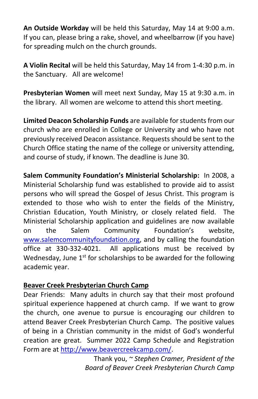**An Outside Workday** will be held this Saturday, May 14 at 9:00 a.m. If you can, please bring a rake, shovel, and wheelbarrow (if you have) for spreading mulch on the church grounds.

**A Violin Recital** will be held this Saturday, May 14 from 1-4:30 p.m. in the Sanctuary. All are welcome!

**Presbyterian Women** will meet next Sunday, May 15 at 9:30 a.m. in the library. All women are welcome to attend this short meeting.

**Limited Deacon Scholarship Funds** are available for students from our church who are enrolled in College or University and who have not previously received Deacon assistance. Requests should be sent to the Church Office stating the name of the college or university attending, and course of study, if known. The deadline is June 30.

**Salem Community Foundation's Ministerial Scholarship:** In 2008, a Ministerial Scholarship fund was established to provide aid to assist persons who will spread the Gospel of Jesus Christ. This program is extended to those who wish to enter the fields of the Ministry, Christian Education, Youth Ministry, or closely related field. The Ministerial Scholarship application and guidelines are now available on the Salem Community Foundation's website, [www.salemcommunityfoundation.org,](http://www.salemcommunityfoundation.org/) and by calling the foundation office at 330-332-4021. All applications must be received by Wednesday, June  $1<sup>st</sup>$  for scholarships to be awarded for the following academic year.

#### **Beaver Creek Presbyterian Church Camp**

Dear Friends: Many adults in church say that their most profound spiritual experience happened at church camp. If we want to grow the church, one avenue to pursue is encouraging our children to attend Beaver Creek Presbyterian Church Camp. The positive values of being in a Christian community in the midst of God's wonderful creation are great. Summer 2022 Camp Schedule and Registration Form are at [http://www.beavercreekcamp.com/.](http://www.beavercreekcamp.com/)

> Thank you, *~ Stephen Cramer, President of the Board of Beaver Creek Presbyterian Church Camp*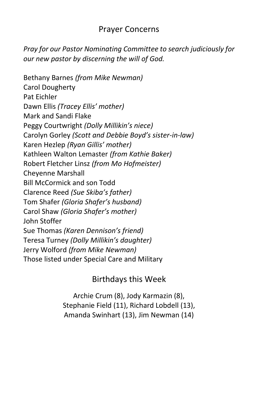# Prayer Concerns

*Pray for our Pastor Nominating Committee to search judiciously for our new pastor by discerning the will of God.*

Bethany Barnes *(from Mike Newman)* Carol Dougherty Pat Eichler Dawn Ellis *(Tracey Ellis' mother)* Mark and Sandi Flake Peggy Courtwright *(Dolly Millikin's niece)* Carolyn Gorley *(Scott and Debbie Boyd's sister-in-law)* Karen Hezlep *(Ryan Gillis' mother)* Kathleen Walton Lemaster *(from Kathie Baker)* Robert Fletcher Linsz *(from Mo Hofmeister)* Cheyenne Marshall Bill McCormick and son Todd Clarence Reed *(Sue Skiba's father)* Tom Shafer *(Gloria Shafer's husband)* Carol Shaw *(Gloria Shafer's mother)* John Stoffer Sue Thomas *(Karen Dennison's friend)* Teresa Turney *(Dolly Millikin's daughter)* Jerry Wolford *(from Mike Newman)* Those listed under Special Care and Military

# Birthdays this Week

Archie Crum (8), Jody Karmazin (8), Stephanie Field (11), Richard Lobdell (13), Amanda Swinhart (13), Jim Newman (14)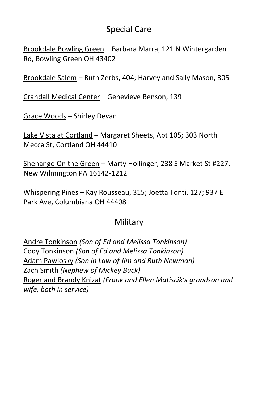# Special Care

Brookdale Bowling Green – Barbara Marra, 121 N Wintergarden Rd, Bowling Green OH 43402

Brookdale Salem – Ruth Zerbs, 404; Harvey and Sally Mason, 305

Crandall Medical Center – Genevieve Benson, 139

Grace Woods – Shirley Devan

Lake Vista at Cortland – Margaret Sheets, Apt 105; 303 North Mecca St, Cortland OH 44410

Shenango On the Green - Marty Hollinger, 238 S Market St #227, New Wilmington PA 16142-1212

Whispering Pines – Kay Rousseau, 315; Joetta Tonti, 127; 937 E Park Ave, Columbiana OH 44408

# Military

Andre Tonkinson *(Son of Ed and Melissa Tonkinson)* Cody Tonkinson *(Son of Ed and Melissa Tonkinson)* Adam Pawlosky *(Son in Law of Jim and Ruth Newman)* Zach Smith *(Nephew of Mickey Buck)* Roger and Brandy Knizat *(Frank and Ellen Matiscik's grandson and wife, both in service)*